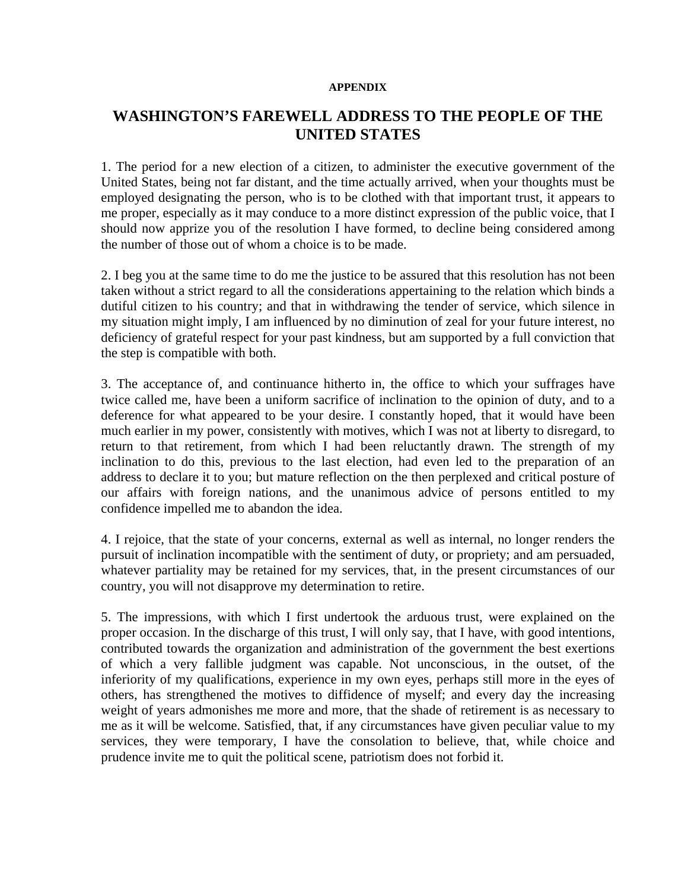## **APPENDIX**

## **WASHINGTON'S FAREWELL ADDRESS TO THE PEOPLE OF THE UNITED STATES**

1. The period for a new election of a citizen, to administer the executive government of the United States, being not far distant, and the time actually arrived, when your thoughts must be employed designating the person, who is to be clothed with that important trust, it appears to me proper, especially as it may conduce to a more distinct expression of the public voice, that I should now apprize you of the resolution I have formed, to decline being considered among the number of those out of whom a choice is to be made.

2. I beg you at the same time to do me the justice to be assured that this resolution has not been taken without a strict regard to all the considerations appertaining to the relation which binds a dutiful citizen to his country; and that in withdrawing the tender of service, which silence in my situation might imply, I am influenced by no diminution of zeal for your future interest, no deficiency of grateful respect for your past kindness, but am supported by a full conviction that the step is compatible with both.

3. The acceptance of, and continuance hitherto in, the office to which your suffrages have twice called me, have been a uniform sacrifice of inclination to the opinion of duty, and to a deference for what appeared to be your desire. I constantly hoped, that it would have been much earlier in my power, consistently with motives, which I was not at liberty to disregard, to return to that retirement, from which I had been reluctantly drawn. The strength of my inclination to do this, previous to the last election, had even led to the preparation of an address to declare it to you; but mature reflection on the then perplexed and critical posture of our affairs with foreign nations, and the unanimous advice of persons entitled to my confidence impelled me to abandon the idea.

4. I rejoice, that the state of your concerns, external as well as internal, no longer renders the pursuit of inclination incompatible with the sentiment of duty, or propriety; and am persuaded, whatever partiality may be retained for my services, that, in the present circumstances of our country, you will not disapprove my determination to retire.

5. The impressions, with which I first undertook the arduous trust, were explained on the proper occasion. In the discharge of this trust, I will only say, that I have, with good intentions, contributed towards the organization and administration of the government the best exertions of which a very fallible judgment was capable. Not unconscious, in the outset, of the inferiority of my qualifications, experience in my own eyes, perhaps still more in the eyes of others, has strengthened the motives to diffidence of myself; and every day the increasing weight of years admonishes me more and more, that the shade of retirement is as necessary to me as it will be welcome. Satisfied, that, if any circumstances have given peculiar value to my services, they were temporary, I have the consolation to believe, that, while choice and prudence invite me to quit the political scene, patriotism does not forbid it.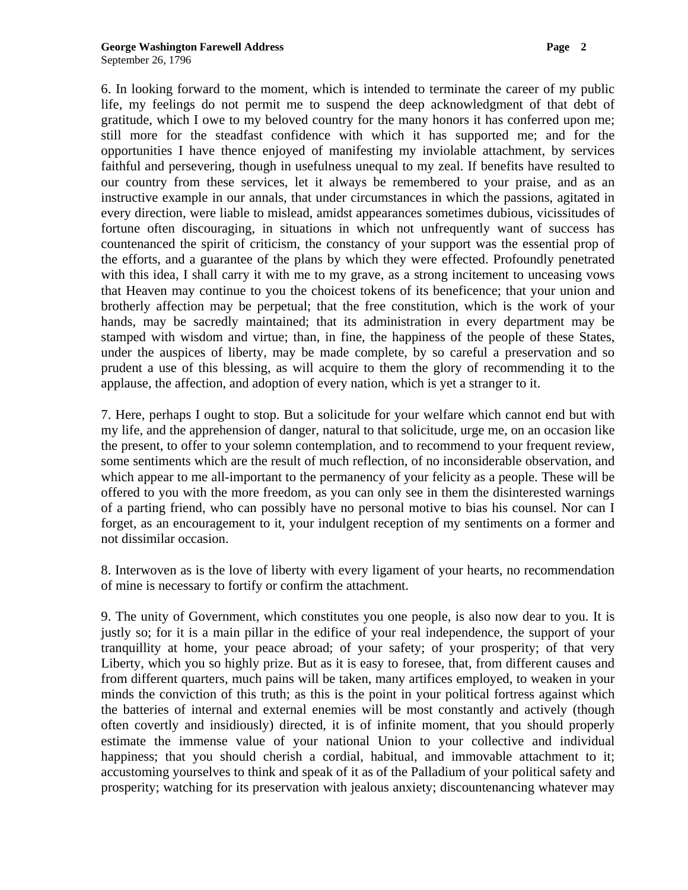6. In looking forward to the moment, which is intended to terminate the career of my public life, my feelings do not permit me to suspend the deep acknowledgment of that debt of gratitude, which I owe to my beloved country for the many honors it has conferred upon me; still more for the steadfast confidence with which it has supported me; and for the opportunities I have thence enjoyed of manifesting my inviolable attachment, by services faithful and persevering, though in usefulness unequal to my zeal. If benefits have resulted to our country from these services, let it always be remembered to your praise, and as an instructive example in our annals, that under circumstances in which the passions, agitated in every direction, were liable to mislead, amidst appearances sometimes dubious, vicissitudes of fortune often discouraging, in situations in which not unfrequently want of success has countenanced the spirit of criticism, the constancy of your support was the essential prop of the efforts, and a guarantee of the plans by which they were effected. Profoundly penetrated with this idea, I shall carry it with me to my grave, as a strong incitement to unceasing vows that Heaven may continue to you the choicest tokens of its beneficence; that your union and brotherly affection may be perpetual; that the free constitution, which is the work of your hands, may be sacredly maintained; that its administration in every department may be stamped with wisdom and virtue; than, in fine, the happiness of the people of these States, under the auspices of liberty, may be made complete, by so careful a preservation and so prudent a use of this blessing, as will acquire to them the glory of recommending it to the applause, the affection, and adoption of every nation, which is yet a stranger to it.

7. Here, perhaps I ought to stop. But a solicitude for your welfare which cannot end but with my life, and the apprehension of danger, natural to that solicitude, urge me, on an occasion like the present, to offer to your solemn contemplation, and to recommend to your frequent review, some sentiments which are the result of much reflection, of no inconsiderable observation, and which appear to me all-important to the permanency of your felicity as a people. These will be offered to you with the more freedom, as you can only see in them the disinterested warnings of a parting friend, who can possibly have no personal motive to bias his counsel. Nor can I forget, as an encouragement to it, your indulgent reception of my sentiments on a former and not dissimilar occasion.

8. Interwoven as is the love of liberty with every ligament of your hearts, no recommendation of mine is necessary to fortify or confirm the attachment.

9. The unity of Government, which constitutes you one people, is also now dear to you. It is justly so; for it is a main pillar in the edifice of your real independence, the support of your tranquillity at home, your peace abroad; of your safety; of your prosperity; of that very Liberty, which you so highly prize. But as it is easy to foresee, that, from different causes and from different quarters, much pains will be taken, many artifices employed, to weaken in your minds the conviction of this truth; as this is the point in your political fortress against which the batteries of internal and external enemies will be most constantly and actively (though often covertly and insidiously) directed, it is of infinite moment, that you should properly estimate the immense value of your national Union to your collective and individual happiness; that you should cherish a cordial, habitual, and immovable attachment to it; accustoming yourselves to think and speak of it as of the Palladium of your political safety and prosperity; watching for its preservation with jealous anxiety; discountenancing whatever may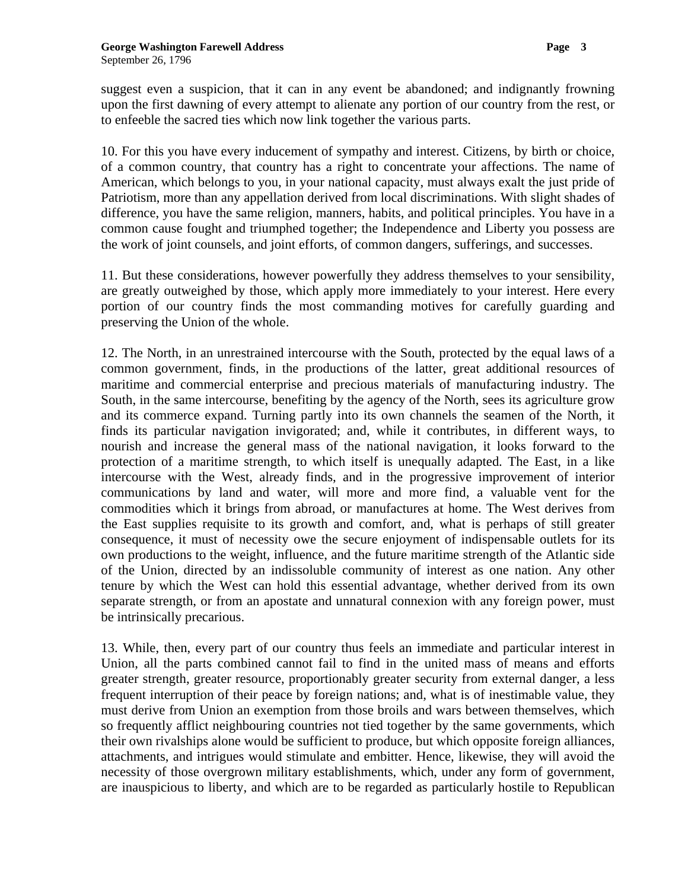suggest even a suspicion, that it can in any event be abandoned; and indignantly frowning upon the first dawning of every attempt to alienate any portion of our country from the rest, or to enfeeble the sacred ties which now link together the various parts.

10. For this you have every inducement of sympathy and interest. Citizens, by birth or choice, of a common country, that country has a right to concentrate your affections. The name of American, which belongs to you, in your national capacity, must always exalt the just pride of Patriotism, more than any appellation derived from local discriminations. With slight shades of difference, you have the same religion, manners, habits, and political principles. You have in a common cause fought and triumphed together; the Independence and Liberty you possess are the work of joint counsels, and joint efforts, of common dangers, sufferings, and successes.

11. But these considerations, however powerfully they address themselves to your sensibility, are greatly outweighed by those, which apply more immediately to your interest. Here every portion of our country finds the most commanding motives for carefully guarding and preserving the Union of the whole.

12. The North, in an unrestrained intercourse with the South, protected by the equal laws of a common government, finds, in the productions of the latter, great additional resources of maritime and commercial enterprise and precious materials of manufacturing industry. The South, in the same intercourse, benefiting by the agency of the North, sees its agriculture grow and its commerce expand. Turning partly into its own channels the seamen of the North, it finds its particular navigation invigorated; and, while it contributes, in different ways, to nourish and increase the general mass of the national navigation, it looks forward to the protection of a maritime strength, to which itself is unequally adapted. The East, in a like intercourse with the West, already finds, and in the progressive improvement of interior communications by land and water, will more and more find, a valuable vent for the commodities which it brings from abroad, or manufactures at home. The West derives from the East supplies requisite to its growth and comfort, and, what is perhaps of still greater consequence, it must of necessity owe the secure enjoyment of indispensable outlets for its own productions to the weight, influence, and the future maritime strength of the Atlantic side of the Union, directed by an indissoluble community of interest as one nation. Any other tenure by which the West can hold this essential advantage, whether derived from its own separate strength, or from an apostate and unnatural connexion with any foreign power, must be intrinsically precarious.

13. While, then, every part of our country thus feels an immediate and particular interest in Union, all the parts combined cannot fail to find in the united mass of means and efforts greater strength, greater resource, proportionably greater security from external danger, a less frequent interruption of their peace by foreign nations; and, what is of inestimable value, they must derive from Union an exemption from those broils and wars between themselves, which so frequently afflict neighbouring countries not tied together by the same governments, which their own rivalships alone would be sufficient to produce, but which opposite foreign alliances, attachments, and intrigues would stimulate and embitter. Hence, likewise, they will avoid the necessity of those overgrown military establishments, which, under any form of government, are inauspicious to liberty, and which are to be regarded as particularly hostile to Republican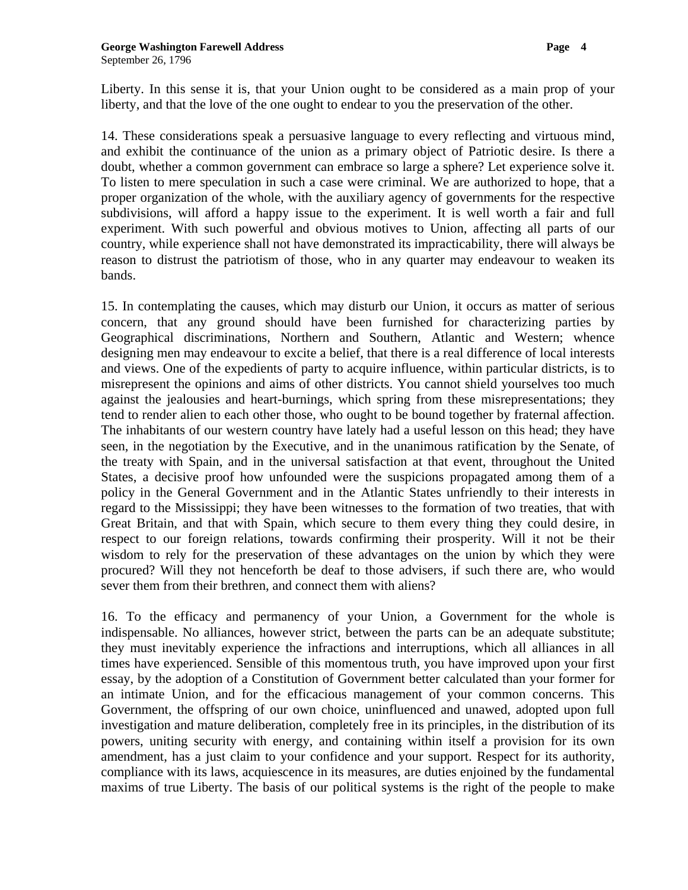Liberty. In this sense it is, that your Union ought to be considered as a main prop of your liberty, and that the love of the one ought to endear to you the preservation of the other.

14. These considerations speak a persuasive language to every reflecting and virtuous mind, and exhibit the continuance of the union as a primary object of Patriotic desire. Is there a doubt, whether a common government can embrace so large a sphere? Let experience solve it. To listen to mere speculation in such a case were criminal. We are authorized to hope, that a proper organization of the whole, with the auxiliary agency of governments for the respective subdivisions, will afford a happy issue to the experiment. It is well worth a fair and full experiment. With such powerful and obvious motives to Union, affecting all parts of our country, while experience shall not have demonstrated its impracticability, there will always be reason to distrust the patriotism of those, who in any quarter may endeavour to weaken its bands.

15. In contemplating the causes, which may disturb our Union, it occurs as matter of serious concern, that any ground should have been furnished for characterizing parties by Geographical discriminations, Northern and Southern, Atlantic and Western; whence designing men may endeavour to excite a belief, that there is a real difference of local interests and views. One of the expedients of party to acquire influence, within particular districts, is to misrepresent the opinions and aims of other districts. You cannot shield yourselves too much against the jealousies and heart-burnings, which spring from these misrepresentations; they tend to render alien to each other those, who ought to be bound together by fraternal affection. The inhabitants of our western country have lately had a useful lesson on this head; they have seen, in the negotiation by the Executive, and in the unanimous ratification by the Senate, of the treaty with Spain, and in the universal satisfaction at that event, throughout the United States, a decisive proof how unfounded were the suspicions propagated among them of a policy in the General Government and in the Atlantic States unfriendly to their interests in regard to the Mississippi; they have been witnesses to the formation of two treaties, that with Great Britain, and that with Spain, which secure to them every thing they could desire, in respect to our foreign relations, towards confirming their prosperity. Will it not be their wisdom to rely for the preservation of these advantages on the union by which they were procured? Will they not henceforth be deaf to those advisers, if such there are, who would sever them from their brethren, and connect them with aliens?

16. To the efficacy and permanency of your Union, a Government for the whole is indispensable. No alliances, however strict, between the parts can be an adequate substitute; they must inevitably experience the infractions and interruptions, which all alliances in all times have experienced. Sensible of this momentous truth, you have improved upon your first essay, by the adoption of a Constitution of Government better calculated than your former for an intimate Union, and for the efficacious management of your common concerns. This Government, the offspring of our own choice, uninfluenced and unawed, adopted upon full investigation and mature deliberation, completely free in its principles, in the distribution of its powers, uniting security with energy, and containing within itself a provision for its own amendment, has a just claim to your confidence and your support. Respect for its authority, compliance with its laws, acquiescence in its measures, are duties enjoined by the fundamental maxims of true Liberty. The basis of our political systems is the right of the people to make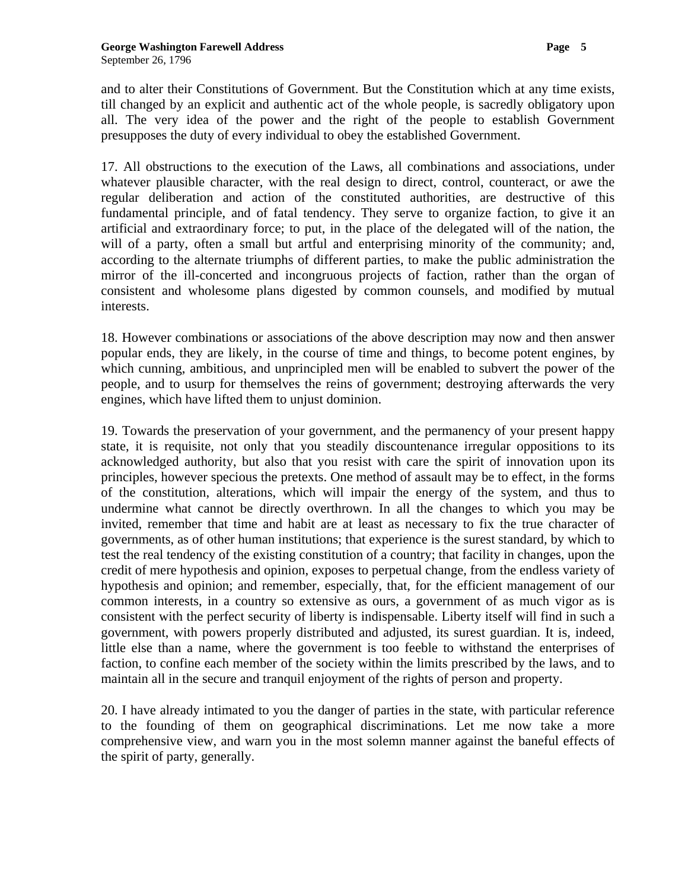and to alter their Constitutions of Government. But the Constitution which at any time exists, till changed by an explicit and authentic act of the whole people, is sacredly obligatory upon all. The very idea of the power and the right of the people to establish Government presupposes the duty of every individual to obey the established Government.

17. All obstructions to the execution of the Laws, all combinations and associations, under whatever plausible character, with the real design to direct, control, counteract, or awe the regular deliberation and action of the constituted authorities, are destructive of this fundamental principle, and of fatal tendency. They serve to organize faction, to give it an artificial and extraordinary force; to put, in the place of the delegated will of the nation, the will of a party, often a small but artful and enterprising minority of the community; and, according to the alternate triumphs of different parties, to make the public administration the mirror of the ill-concerted and incongruous projects of faction, rather than the organ of consistent and wholesome plans digested by common counsels, and modified by mutual interests.

18. However combinations or associations of the above description may now and then answer popular ends, they are likely, in the course of time and things, to become potent engines, by which cunning, ambitious, and unprincipled men will be enabled to subvert the power of the people, and to usurp for themselves the reins of government; destroying afterwards the very engines, which have lifted them to unjust dominion.

19. Towards the preservation of your government, and the permanency of your present happy state, it is requisite, not only that you steadily discountenance irregular oppositions to its acknowledged authority, but also that you resist with care the spirit of innovation upon its principles, however specious the pretexts. One method of assault may be to effect, in the forms of the constitution, alterations, which will impair the energy of the system, and thus to undermine what cannot be directly overthrown. In all the changes to which you may be invited, remember that time and habit are at least as necessary to fix the true character of governments, as of other human institutions; that experience is the surest standard, by which to test the real tendency of the existing constitution of a country; that facility in changes, upon the credit of mere hypothesis and opinion, exposes to perpetual change, from the endless variety of hypothesis and opinion; and remember, especially, that, for the efficient management of our common interests, in a country so extensive as ours, a government of as much vigor as is consistent with the perfect security of liberty is indispensable. Liberty itself will find in such a government, with powers properly distributed and adjusted, its surest guardian. It is, indeed, little else than a name, where the government is too feeble to withstand the enterprises of faction, to confine each member of the society within the limits prescribed by the laws, and to maintain all in the secure and tranquil enjoyment of the rights of person and property.

20. I have already intimated to you the danger of parties in the state, with particular reference to the founding of them on geographical discriminations. Let me now take a more comprehensive view, and warn you in the most solemn manner against the baneful effects of the spirit of party, generally.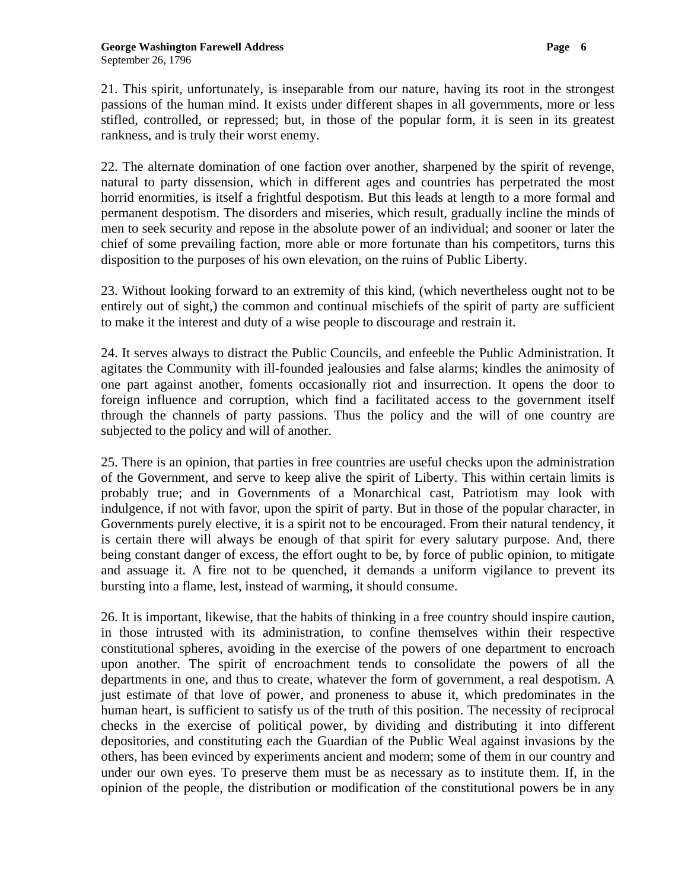21. This spirit, unfortunately, is inseparable from our nature, having its root in the strongest passions of the human mind. It exists under different shapes in all governments, more or less stifled, controlled, or repressed; but, in those of the popular form, it is seen in its greatest rankness, and is truly their worst enemy.

22. The alternate domination of one faction over another, sharpened by the spirit of revenge, natural to party dissension, which in different ages and countries has perpetrated the most horrid enormities, is itself a frightful despotism. But this leads at length to a more formal and permanent despotism. The disorders and miseries, which result, gradually incline the minds of men to seek security and repose in the absolute power of an individual; and sooner or later the chief of some prevailing faction, more able or more fortunate than his competitors, turns this disposition to the purposes of his own elevation, on the ruins of Public Liberty.

23. Without looking forward to an extremity of this kind, (which nevertheless ought not to be entirely out of sight,) the common and continual mischiefs of the spirit of party are sufficient to make it the interest and duty of a wise people to discourage and restrain it.

24. It serves always to distract the Public Councils, and enfeeble the Public Administration. It agitates the Community with ill-founded jealousies and false alarms; kindles the animosity of one part against another, foments occasionally riot and insurrection. It opens the door to foreign influence and corruption, which find a facilitated access to the government itself through the channels of party passions. Thus the policy and the will of one country are subjected to the policy and will of another.

25. There is an opinion, that parties in free countries are useful checks upon the administration of the Government, and serve to keep alive the spirit of Liberty. This within certain limits is probably true; and in Governments of a Monarchical cast, Patriotism may look with indulgence, if not with favor, upon the spirit of party. But in those of the popular character, in Governments purely elective, it is a spirit not to be encouraged. From their natural tendency, it is certain there will always be enough of that spirit for every salutary purpose. And, there being constant danger of excess, the effort ought to be, by force of public opinion, to mitigate and assuage it. A fire not to be quenched, it demands a uniform vigilance to prevent its bursting into a flame, lest, instead of warming, it should consume.

26. It is important, likewise, that the habits of thinking in a free country should inspire caution, in those intrusted with its administration, to confine themselves within their respective constitutional spheres, avoiding in the exercise of the powers of one department to encroach upon another. The spirit of encroachment tends to consolidate the powers of all the departments in one, and thus to create, whatever the form of government, a real despotism. A just estimate of that love of power, and proneness to abuse it, which predominates in the human heart, is sufficient to satisfy us of the truth of this position. The necessity of reciprocal checks in the exercise of political power, by dividing and distributing it into different depositories, and constituting each the Guardian of the Public Weal against invasions by the others, has been evinced by experiments ancient and modern; some of them in our country and under our own eyes. To preserve them must be as necessary as to institute them. If, in the opinion of the people, the distribution or modification of the constitutional powers be in any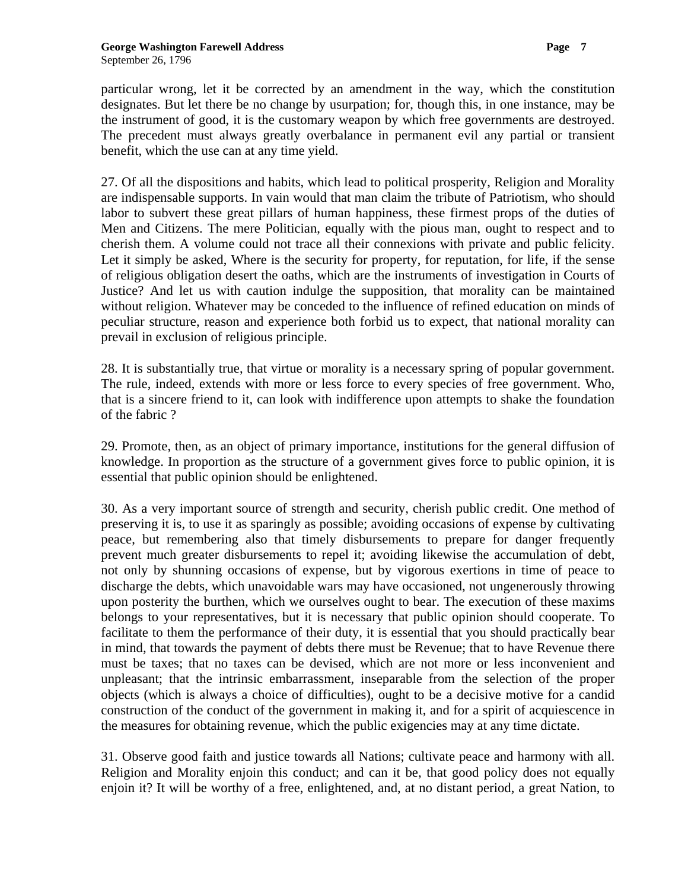particular wrong, let it be corrected by an amendment in the way, which the constitution designates. But let there be no change by usurpation; for, though this, in one instance, may be the instrument of good, it is the customary weapon by which free governments are destroyed. The precedent must always greatly overbalance in permanent evil any partial or transient benefit, which the use can at any time yield.

27. Of all the dispositions and habits, which lead to political prosperity, Religion and Morality are indispensable supports. In vain would that man claim the tribute of Patriotism, who should labor to subvert these great pillars of human happiness, these firmest props of the duties of Men and Citizens. The mere Politician, equally with the pious man, ought to respect and to cherish them. A volume could not trace all their connexions with private and public felicity. Let it simply be asked, Where is the security for property, for reputation, for life, if the sense of religious obligation desert the oaths, which are the instruments of investigation in Courts of Justice? And let us with caution indulge the supposition, that morality can be maintained without religion. Whatever may be conceded to the influence of refined education on minds of peculiar structure, reason and experience both forbid us to expect, that national morality can prevail in exclusion of religious principle.

28. It is substantially true, that virtue or morality is a necessary spring of popular government. The rule, indeed, extends with more or less force to every species of free government. Who, that is a sincere friend to it, can look with indifference upon attempts to shake the foundation of the fabric ?

29. Promote, then, as an object of primary importance, institutions for the general diffusion of knowledge. In proportion as the structure of a government gives force to public opinion, it is essential that public opinion should be enlightened.

30. As a very important source of strength and security, cherish public credit. One method of preserving it is, to use it as sparingly as possible; avoiding occasions of expense by cultivating peace, but remembering also that timely disbursements to prepare for danger frequently prevent much greater disbursements to repel it; avoiding likewise the accumulation of debt, not only by shunning occasions of expense, but by vigorous exertions in time of peace to discharge the debts, which unavoidable wars may have occasioned, not ungenerously throwing upon posterity the burthen, which we ourselves ought to bear. The execution of these maxims belongs to your representatives, but it is necessary that public opinion should cooperate. To facilitate to them the performance of their duty, it is essential that you should practically bear in mind, that towards the payment of debts there must be Revenue; that to have Revenue there must be taxes; that no taxes can be devised, which are not more or less inconvenient and unpleasant; that the intrinsic embarrassment, inseparable from the selection of the proper objects (which is always a choice of difficulties), ought to be a decisive motive for a candid construction of the conduct of the government in making it, and for a spirit of acquiescence in the measures for obtaining revenue, which the public exigencies may at any time dictate.

31. Observe good faith and justice towards all Nations; cultivate peace and harmony with all. Religion and Morality enjoin this conduct; and can it be, that good policy does not equally enjoin it? It will be worthy of a free, enlightened, and, at no distant period, a great Nation, to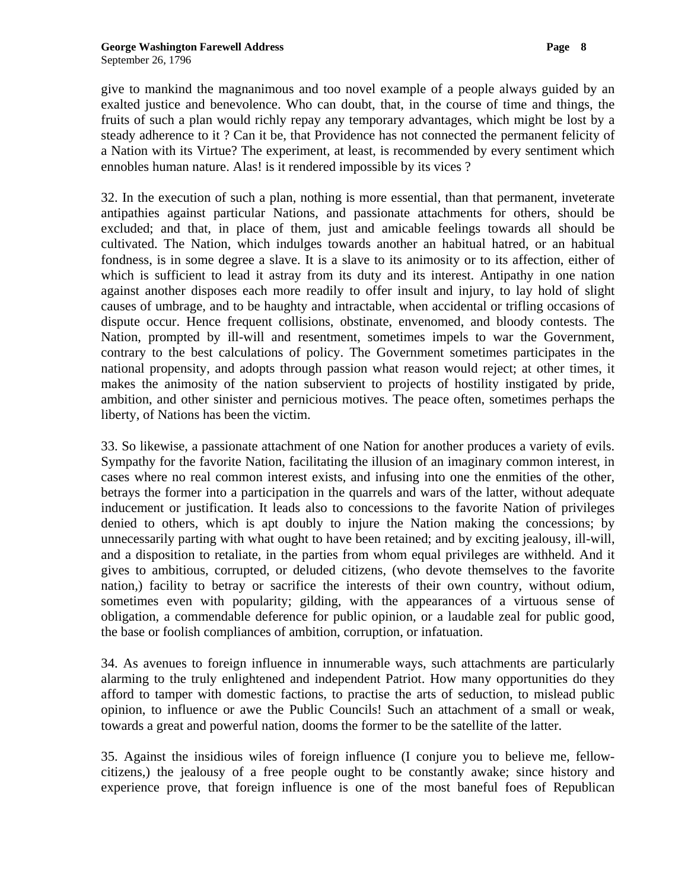give to mankind the magnanimous and too novel example of a people always guided by an exalted justice and benevolence. Who can doubt, that, in the course of time and things, the fruits of such a plan would richly repay any temporary advantages, which might be lost by a steady adherence to it ? Can it be, that Providence has not connected the permanent felicity of a Nation with its Virtue? The experiment, at least, is recommended by every sentiment which ennobles human nature. Alas! is it rendered impossible by its vices ?

32. In the execution of such a plan, nothing is more essential, than that permanent, inveterate antipathies against particular Nations, and passionate attachments for others, should be excluded; and that, in place of them, just and amicable feelings towards all should be cultivated. The Nation, which indulges towards another an habitual hatred, or an habitual fondness, is in some degree a slave. It is a slave to its animosity or to its affection, either of which is sufficient to lead it astray from its duty and its interest. Antipathy in one nation against another disposes each more readily to offer insult and injury, to lay hold of slight causes of umbrage, and to be haughty and intractable, when accidental or trifling occasions of dispute occur. Hence frequent collisions, obstinate, envenomed, and bloody contests. The Nation, prompted by ill-will and resentment, sometimes impels to war the Government, contrary to the best calculations of policy. The Government sometimes participates in the national propensity, and adopts through passion what reason would reject; at other times, it makes the animosity of the nation subservient to projects of hostility instigated by pride, ambition, and other sinister and pernicious motives. The peace often, sometimes perhaps the liberty, of Nations has been the victim.

33. So likewise, a passionate attachment of one Nation for another produces a variety of evils. Sympathy for the favorite Nation, facilitating the illusion of an imaginary common interest, in cases where no real common interest exists, and infusing into one the enmities of the other, betrays the former into a participation in the quarrels and wars of the latter, without adequate inducement or justification. It leads also to concessions to the favorite Nation of privileges denied to others, which is apt doubly to injure the Nation making the concessions; by unnecessarily parting with what ought to have been retained; and by exciting jealousy, ill-will, and a disposition to retaliate, in the parties from whom equal privileges are withheld. And it gives to ambitious, corrupted, or deluded citizens, (who devote themselves to the favorite nation,) facility to betray or sacrifice the interests of their own country, without odium, sometimes even with popularity; gilding, with the appearances of a virtuous sense of obligation, a commendable deference for public opinion, or a laudable zeal for public good, the base or foolish compliances of ambition, corruption, or infatuation.

34. As avenues to foreign influence in innumerable ways, such attachments are particularly alarming to the truly enlightened and independent Patriot. How many opportunities do they afford to tamper with domestic factions, to practise the arts of seduction, to mislead public opinion, to influence or awe the Public Councils! Such an attachment of a small or weak, towards a great and powerful nation, dooms the former to be the satellite of the latter.

35. Against the insidious wiles of foreign influence (I conjure you to believe me, fellowcitizens,) the jealousy of a free people ought to be constantly awake; since history and experience prove, that foreign influence is one of the most baneful foes of Republican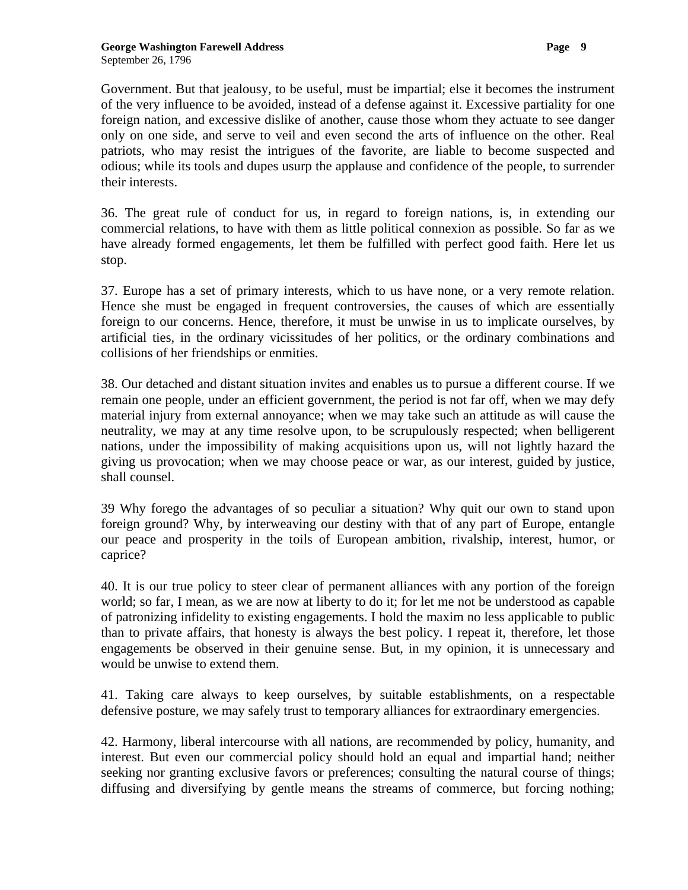Government. But that jealousy, to be useful, must be impartial; else it becomes the instrument of the very influence to be avoided, instead of a defense against it. Excessive partiality for one foreign nation, and excessive dislike of another, cause those whom they actuate to see danger only on one side, and serve to veil and even second the arts of influence on the other. Real patriots, who may resist the intrigues of the favorite, are liable to become suspected and odious; while its tools and dupes usurp the applause and confidence of the people, to surrender their interests.

36. The great rule of conduct for us, in regard to foreign nations, is, in extending our commercial relations, to have with them as little political connexion as possible. So far as we have already formed engagements, let them be fulfilled with perfect good faith. Here let us stop.

37. Europe has a set of primary interests, which to us have none, or a very remote relation. Hence she must be engaged in frequent controversies, the causes of which are essentially foreign to our concerns. Hence, therefore, it must be unwise in us to implicate ourselves, by artificial ties, in the ordinary vicissitudes of her politics, or the ordinary combinations and collisions of her friendships or enmities.

38. Our detached and distant situation invites and enables us to pursue a different course. If we remain one people, under an efficient government, the period is not far off, when we may defy material injury from external annoyance; when we may take such an attitude as will cause the neutrality, we may at any time resolve upon, to be scrupulously respected; when belligerent nations, under the impossibility of making acquisitions upon us, will not lightly hazard the giving us provocation; when we may choose peace or war, as our interest, guided by justice, shall counsel.

39 Why forego the advantages of so peculiar a situation? Why quit our own to stand upon foreign ground? Why, by interweaving our destiny with that of any part of Europe, entangle our peace and prosperity in the toils of European ambition, rivalship, interest, humor, or caprice?

40. It is our true policy to steer clear of permanent alliances with any portion of the foreign world; so far, I mean, as we are now at liberty to do it; for let me not be understood as capable of patronizing infidelity to existing engagements. I hold the maxim no less applicable to public than to private affairs, that honesty is always the best policy. I repeat it, therefore, let those engagements be observed in their genuine sense. But, in my opinion, it is unnecessary and would be unwise to extend them.

41. Taking care always to keep ourselves, by suitable establishments, on a respectable defensive posture, we may safely trust to temporary alliances for extraordinary emergencies.

42. Harmony, liberal intercourse with all nations, are recommended by policy, humanity, and interest. But even our commercial policy should hold an equal and impartial hand; neither seeking nor granting exclusive favors or preferences; consulting the natural course of things; diffusing and diversifying by gentle means the streams of commerce, but forcing nothing;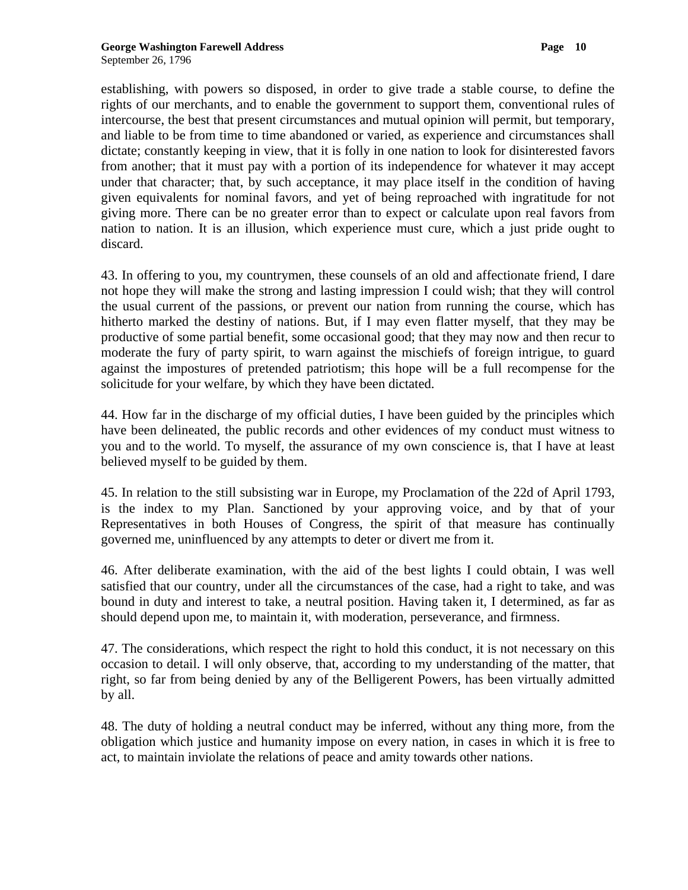establishing, with powers so disposed, in order to give trade a stable course, to define the rights of our merchants, and to enable the government to support them, conventional rules of intercourse, the best that present circumstances and mutual opinion will permit, but temporary, and liable to be from time to time abandoned or varied, as experience and circumstances shall dictate; constantly keeping in view, that it is folly in one nation to look for disinterested favors from another; that it must pay with a portion of its independence for whatever it may accept under that character; that, by such acceptance, it may place itself in the condition of having given equivalents for nominal favors, and yet of being reproached with ingratitude for not giving more. There can be no greater error than to expect or calculate upon real favors from nation to nation. It is an illusion, which experience must cure, which a just pride ought to discard.

43. In offering to you, my countrymen, these counsels of an old and affectionate friend, I dare not hope they will make the strong and lasting impression I could wish; that they will control the usual current of the passions, or prevent our nation from running the course, which has hitherto marked the destiny of nations. But, if I may even flatter myself, that they may be productive of some partial benefit, some occasional good; that they may now and then recur to moderate the fury of party spirit, to warn against the mischiefs of foreign intrigue, to guard against the impostures of pretended patriotism; this hope will be a full recompense for the solicitude for your welfare, by which they have been dictated.

44. How far in the discharge of my official duties, I have been guided by the principles which have been delineated, the public records and other evidences of my conduct must witness to you and to the world. To myself, the assurance of my own conscience is, that I have at least believed myself to be guided by them.

45. In relation to the still subsisting war in Europe, my Proclamation of the 22d of April 1793, is the index to my Plan. Sanctioned by your approving voice, and by that of your Representatives in both Houses of Congress, the spirit of that measure has continually governed me, uninfluenced by any attempts to deter or divert me from it.

46. After deliberate examination, with the aid of the best lights I could obtain, I was well satisfied that our country, under all the circumstances of the case, had a right to take, and was bound in duty and interest to take, a neutral position. Having taken it, I determined, as far as should depend upon me, to maintain it, with moderation, perseverance, and firmness.

47. The considerations, which respect the right to hold this conduct, it is not necessary on this occasion to detail. I will only observe, that, according to my understanding of the matter, that right, so far from being denied by any of the Belligerent Powers, has been virtually admitted by all.

48. The duty of holding a neutral conduct may be inferred, without any thing more, from the obligation which justice and humanity impose on every nation, in cases in which it is free to act, to maintain inviolate the relations of peace and amity towards other nations.